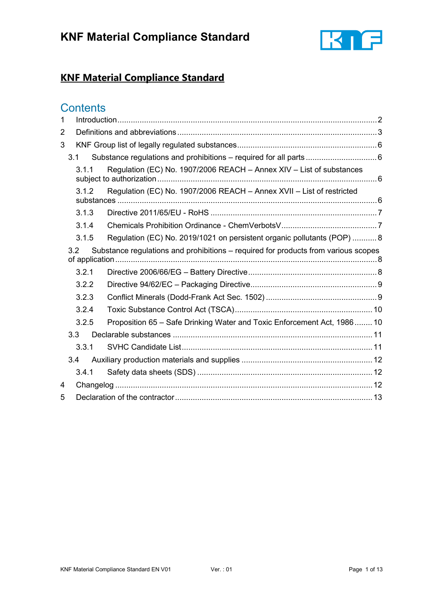

## **Contents**

| 1 |                  |       |                                                                                    |  |
|---|------------------|-------|------------------------------------------------------------------------------------|--|
| 2 |                  |       |                                                                                    |  |
| 3 |                  |       |                                                                                    |  |
|   | 3.1              |       | Substance regulations and prohibitions - required for all parts 6                  |  |
|   |                  | 3.1.1 | Regulation (EC) No. 1907/2006 REACH - Annex XIV - List of substances               |  |
|   |                  | 3.1.2 | Regulation (EC) No. 1907/2006 REACH - Annex XVII - List of restricted              |  |
|   |                  | 3.1.3 |                                                                                    |  |
|   |                  | 3.1.4 |                                                                                    |  |
|   |                  | 3.1.5 | Regulation (EC) No. 2019/1021 on persistent organic pollutants (POP)  8            |  |
|   | 3.2              |       | Substance regulations and prohibitions – required for products from various scopes |  |
|   |                  | 3.2.1 |                                                                                    |  |
|   |                  | 3.2.2 |                                                                                    |  |
|   |                  | 3.2.3 |                                                                                    |  |
|   |                  | 3.2.4 |                                                                                    |  |
|   |                  | 3.2.5 | Proposition 65 - Safe Drinking Water and Toxic Enforcement Act, 1986 10            |  |
|   | 3.3 <sub>2</sub> |       |                                                                                    |  |
|   |                  | 3.3.1 |                                                                                    |  |
|   |                  | 3.4   |                                                                                    |  |
|   |                  | 3.4.1 |                                                                                    |  |
| 4 |                  |       |                                                                                    |  |
| 5 |                  |       |                                                                                    |  |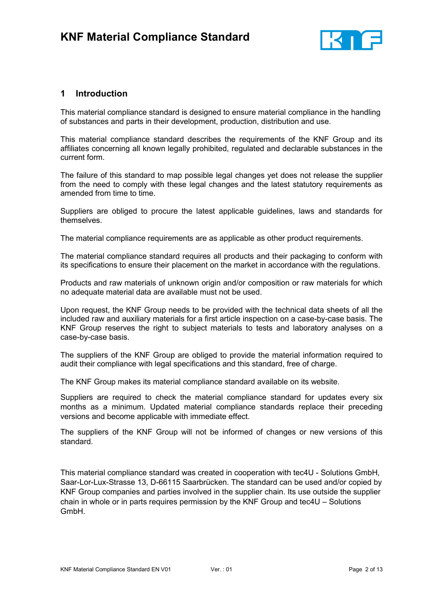

## <span id="page-1-0"></span>**1 Introduction**

This material compliance standard is designed to ensure material compliance in the handling of substances and parts in their development, production, distribution and use.

This material compliance standard describes the requirements of the KNF Group and its affiliates concerning all known legally prohibited, regulated and declarable substances in the current form.

The failure of this standard to map possible legal changes yet does not release the supplier from the need to comply with these legal changes and the latest statutory requirements as amended from time to time.

Suppliers are obliged to procure the latest applicable guidelines, laws and standards for themselves.

The material compliance requirements are as applicable as other product requirements.

The material compliance standard requires all products and their packaging to conform with its specifications to ensure their placement on the market in accordance with the regulations.

Products and raw materials of unknown origin and/or composition or raw materials for which no adequate material data are available must not be used.

Upon request, the KNF Group needs to be provided with the technical data sheets of all the included raw and auxiliary materials for a first article inspection on a case-by-case basis. The KNF Group reserves the right to subject materials to tests and laboratory analyses on a case-by-case basis.

The suppliers of the KNF Group are obliged to provide the material information required to audit their compliance with legal specifications and this standard, free of charge.

The KNF Group makes its material compliance standard available on its website.

Suppliers are required to check the material compliance standard for updates every six months as a minimum. Updated material compliance standards replace their preceding versions and become applicable with immediate effect.

The suppliers of the KNF Group will not be informed of changes or new versions of this standard.

This material compliance standard was created in cooperation with tec4U - Solutions GmbH, Saar-Lor-Lux-Strasse 13, D-66115 Saarbrücken. The standard can be used and/or copied by KNF Group companies and parties involved in the supplier chain. Its use outside the supplier chain in whole or in parts requires permission by the KNF Group and tec4U – Solutions GmbH.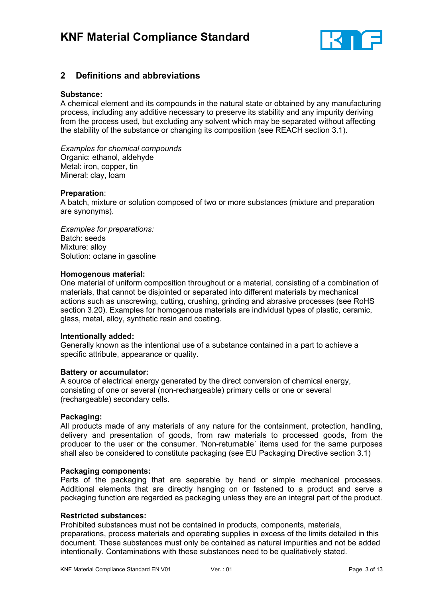

## <span id="page-2-0"></span>**2 Definitions and abbreviations**

#### **Substance:**

A chemical element and its compounds in the natural state or obtained by any manufacturing process, including any additive necessary to preserve its stability and any impurity deriving from the process used, but excluding any solvent which may be separated without affecting the stability of the substance or changing its composition (see REACH section 3.1).

*Examples for chemical compounds* Organic: ethanol, aldehyde Metal: iron, copper, tin Mineral: clay, loam

#### **Preparation**:

A batch, mixture or solution composed of two or more substances (mixture and preparation are synonyms).

*Examples for preparations:* Batch: seeds Mixture: alloy Solution: octane in gasoline

#### **Homogenous material:**

One material of uniform composition throughout or a material, consisting of a combination of materials, that cannot be disjointed or separated into different materials by mechanical actions such as unscrewing, cutting, crushing, grinding and abrasive processes (see RoHS section 3.20). Examples for homogenous materials are individual types of plastic, ceramic, glass, metal, alloy, synthetic resin and coating.

#### **Intentionally added:**

Generally known as the intentional use of a substance contained in a part to achieve a specific attribute, appearance or quality.

#### **Battery or accumulator:**

A source of electrical energy generated by the direct conversion of chemical energy, consisting of one or several (non-rechargeable) primary cells or one or several (rechargeable) secondary cells.

#### **Packaging:**

All products made of any materials of any nature for the containment, protection, handling, delivery and presentation of goods, from raw materials to processed goods, from the producer to the user or the consumer. 'Non-returnable` items used for the same purposes shall also be considered to constitute packaging (see EU Packaging Directive section 3.1)

#### **Packaging components:**

Parts of the packaging that are separable by hand or simple mechanical processes. Additional elements that are directly hanging on or fastened to a product and serve a packaging function are regarded as packaging unless they are an integral part of the product.

#### **Restricted substances:**

Prohibited substances must not be contained in products, components, materials, preparations, process materials and operating supplies in excess of the limits detailed in this document. These substances must only be contained as natural impurities and not be added intentionally. Contaminations with these substances need to be qualitatively stated.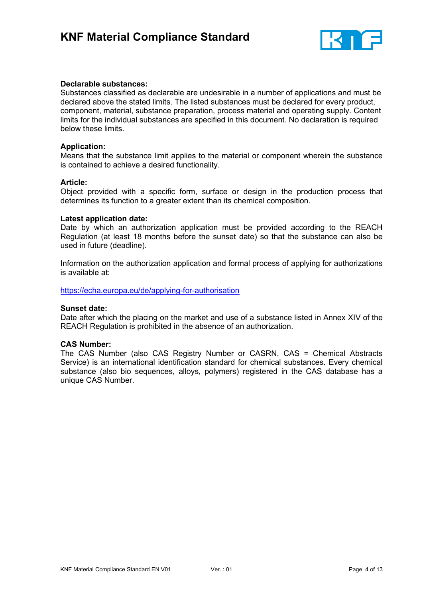

#### **Declarable substances:**

Substances classified as declarable are undesirable in a number of applications and must be declared above the stated limits. The listed substances must be declared for every product, component, material, substance preparation, process material and operating supply. Content limits for the individual substances are specified in this document. No declaration is required below these limits.

#### **Application:**

Means that the substance limit applies to the material or component wherein the substance is contained to achieve a desired functionality.

#### **Article:**

Object provided with a specific form, surface or design in the production process that determines its function to a greater extent than its chemical composition.

#### **Latest application date:**

Date by which an authorization application must be provided according to the REACH Regulation (at least 18 months before the sunset date) so that the substance can also be used in future (deadline).

Information on the authorization application and formal process of applying for authorizations is available at:

<https://echa.europa.eu/de/applying-for-authorisation>

#### **Sunset date:**

Date after which the placing on the market and use of a substance listed in Annex XIV of the REACH Regulation is prohibited in the absence of an authorization.

#### **CAS Number:**

The CAS Number (also CAS Registry Number or CASRN, CAS = Chemical Abstracts Service) is an international identification standard for chemical substances. Every chemical substance (also bio sequences, alloys, polymers) registered in the CAS database has a unique CAS Number.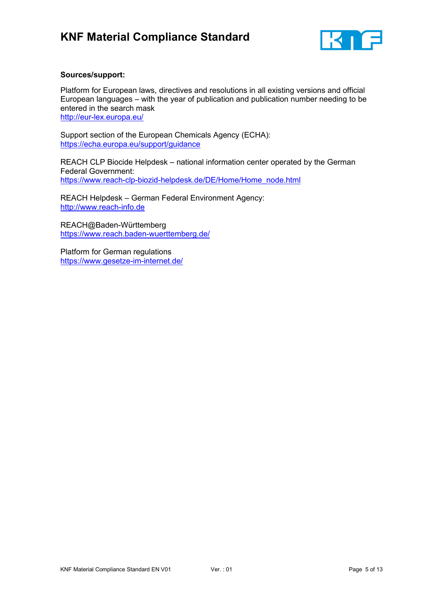

#### **Sources/support:**

Platform for European laws, directives and resolutions in all existing versions and official European languages – with the year of publication and publication number needing to be entered in the search mask <http://eur-lex.europa.eu/>

Support section of the European Chemicals Agency (ECHA): [https://echa.europa.eu/support/guidance](https://echa.europa.eu/de/support/guidance)

REACH CLP Biocide Helpdesk – national information center operated by the German Federal Government: [https://www.reach-clp-biozid-helpdesk.de/DE/Home/Home\\_node.html](https://www.reach-clp-biozid-helpdesk.de/DE/Home/Home_node.html)

REACH Helpdesk – German Federal Environment Agency: [http://www.reach-info.de](http://www.reach-info.de/)

REACH@Baden-Württemberg [https://www.reach.baden-wuerttemberg.de/](https://echa.europa.eu/de/applying-for-authorisation)

Platform for German regulations [https://www.gesetze-im-internet.de/](http://eur-lex.europa.eu/)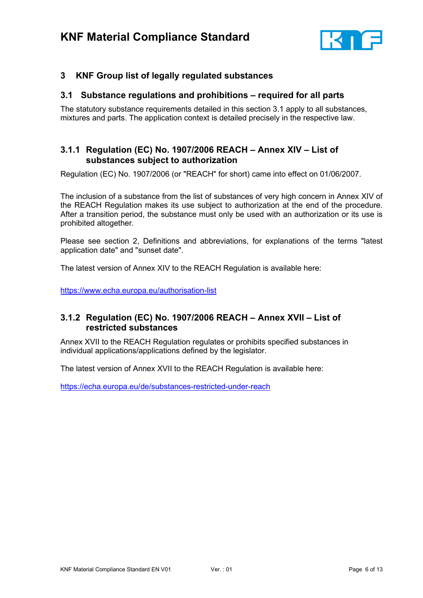

## <span id="page-5-0"></span>**3 KNF Group list of legally regulated substances**

### <span id="page-5-1"></span>**3.1 Substance regulations and prohibitions – required for all parts**

The statutory substance requirements detailed in this section 3.1 apply to all substances, mixtures and parts. The application context is detailed precisely in the respective law.

## <span id="page-5-2"></span>**3.1.1 Regulation (EC) No. 1907/2006 REACH – Annex XIV – List of substances subject to authorization**

Regulation (EC) No. 1907/2006 (or "REACH" for short) came into effect on 01/06/2007.

The inclusion of a substance from the list of substances of very high concern in Annex XIV of the REACH Regulation makes its use subject to authorization at the end of the procedure. After a transition period, the substance must only be used with an authorization or its use is prohibited altogether.

Please see section 2, Definitions and abbreviations, for explanations of the terms "latest application date" and "sunset date".

The latest version of Annex XIV to the REACH Regulation is available here:

[https://www.echa.europa.eu/authorisation-list](https://echa.europa.eu/de/authorisation-list)

## <span id="page-5-3"></span>**3.1.2 Regulation (EC) No. 1907/2006 REACH – Annex XVII – List of restricted substances**

Annex XVII to the REACH Regulation regulates or prohibits specified substances in individual applications/applications defined by the legislator.

The latest version of Annex XVII to the REACH Regulation is available here:

<https://echa.europa.eu/de/substances-restricted-under-reach>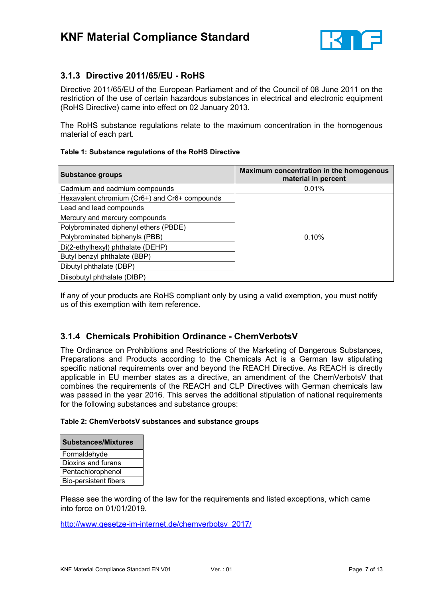

## <span id="page-6-0"></span>**3.1.3 Directive 2011/65/EU - RoHS**

Directive 2011/65/EU of the European Parliament and of the Council of 08 June 2011 on the restriction of the use of certain hazardous substances in electrical and electronic equipment (RoHS Directive) came into effect on 02 January 2013.

The RoHS substance regulations relate to the maximum concentration in the homogenous material of each part.

#### **Table 1: Substance regulations of the RoHS Directive**

| <b>Substance groups</b>                       | Maximum concentration in the homogenous<br>material in percent |  |
|-----------------------------------------------|----------------------------------------------------------------|--|
| Cadmium and cadmium compounds                 | 0.01%                                                          |  |
| Hexavalent chromium (Cr6+) and Cr6+ compounds |                                                                |  |
| Lead and lead compounds                       |                                                                |  |
| Mercury and mercury compounds                 |                                                                |  |
| Polybrominated diphenyl ethers (PBDE)         |                                                                |  |
| Polybrominated biphenyls (PBB)                | 0.10%                                                          |  |
| Di(2-ethylhexyl) phthalate (DEHP)             |                                                                |  |
| Butyl benzyl phthalate (BBP)                  |                                                                |  |
| Dibutyl phthalate (DBP)                       |                                                                |  |
| Diisobutyl phthalate (DIBP)                   |                                                                |  |

If any of your products are RoHS compliant only by using a valid exemption, you must notify us of this exemption with item reference.

## <span id="page-6-1"></span>**3.1.4 Chemicals Prohibition Ordinance - ChemVerbotsV**

The Ordinance on Prohibitions and Restrictions of the Marketing of Dangerous Substances, Preparations and Products according to the Chemicals Act is a German law stipulating specific national requirements over and beyond the REACH Directive. As REACH is directly applicable in EU member states as a directive, an amendment of the ChemVerbotsV that combines the requirements of the REACH and CLP Directives with German chemicals law was passed in the year 2016. This serves the additional stipulation of national requirements for the following substances and substance groups:

#### **Table 2: ChemVerbotsV substances and substance groups**

| <b>Substances/Mixtures</b>   |
|------------------------------|
| Formaldehyde                 |
| Dioxins and furans           |
| Pentachlorophenol            |
| <b>Bio-persistent fibers</b> |

Please see the wording of the law for the requirements and listed exceptions, which came into force on 01/01/2019.

[http://www.gesetze-im-internet.de/chemverbotsv\\_2017/](http://www.gesetze-im-internet.de/chemverbotsv_2017/)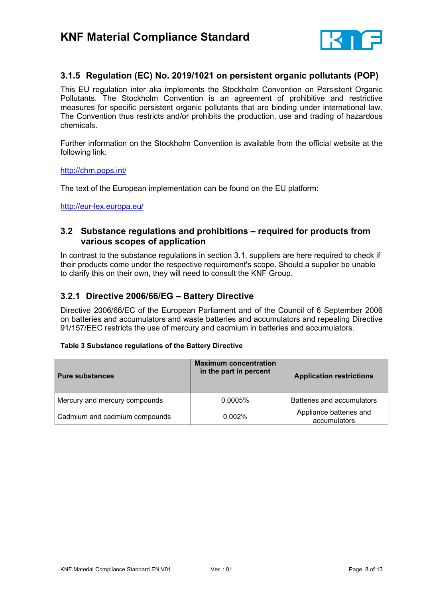

## <span id="page-7-0"></span>**3.1.5 Regulation (EC) No. 2019/1021 on persistent organic pollutants (POP)**

This EU regulation inter alia implements the Stockholm Convention on Persistent Organic Pollutants. The Stockholm Convention is an agreement of prohibitive and restrictive measures for specific persistent organic pollutants that are binding under international law. The Convention thus restricts and/or prohibits the production, use and trading of hazardous chemicals.

Further information on the Stockholm Convention is available from the official website at the following link:

#### <http://chm.pops.int/>

The text of the European implementation can be found on the EU platform:

[http://eur-lex.europa.eu/](https://eur-lex.europa.eu/)

## <span id="page-7-1"></span>**3.2 Substance regulations and prohibitions – required for products from various scopes of application**

In contrast to the substance regulations in section 3.1, suppliers are here required to check if their products come under the respective requirement's scope. Should a supplier be unable to clarify this on their own, they will need to consult the KNF Group.

## <span id="page-7-2"></span>**3.2.1 Directive 2006/66/EG – Battery Directive**

Directive 2006/66/EC of the European Parliament and of the Council of 6 September 2006 on batteries and accumulators and waste batteries and accumulators and repealing Directive 91/157/EEC restricts the use of mercury and cadmium in batteries and accumulators.

#### **Table 3 Substance regulations of the Battery Directive**

| <b>Pure substances</b>        | <b>Maximum concentration</b><br>in the part in percent | <b>Application restrictions</b>         |
|-------------------------------|--------------------------------------------------------|-----------------------------------------|
| Mercury and mercury compounds | $0.0005\%$                                             | Batteries and accumulators              |
| Cadmium and cadmium compounds | 0.002%                                                 | Appliance batteries and<br>accumulators |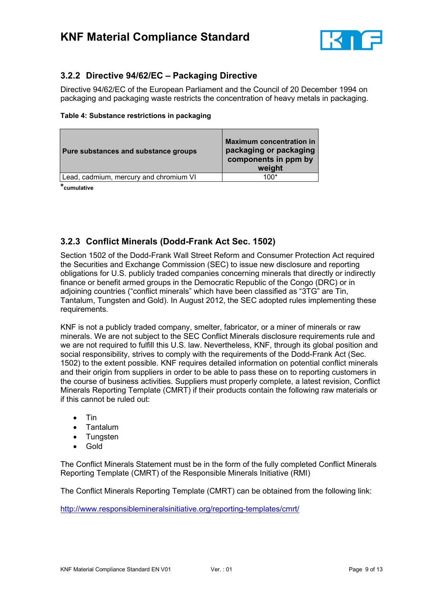

## <span id="page-8-0"></span>**3.2.2 Directive 94/62/EC – Packaging Directive**

Directive 94/62/EC of the European Parliament and the Council of 20 December 1994 on packaging and packaging waste restricts the concentration of heavy metals in packaging.

#### **Table 4: Substance restrictions in packaging**

| Pure substances and substance groups   | <b>Maximum concentration in</b><br>packaging or packaging<br>components in ppm by<br>weight |
|----------------------------------------|---------------------------------------------------------------------------------------------|
| Lead, cadmium, mercury and chromium VI | 1በበ*                                                                                        |

**\*cumulative**

## <span id="page-8-1"></span>**3.2.3 Conflict Minerals (Dodd-Frank Act Sec. 1502)**

Section 1502 of the Dodd-Frank Wall Street Reform and Consumer Protection Act required the Securities and Exchange Commission (SEC) to issue new disclosure and reporting obligations for U.S. publicly traded companies concerning minerals that directly or indirectly finance or benefit armed groups in the Democratic Republic of the Congo (DRC) or in adjoining countries ("conflict minerals" which have been classified as "3TG" are Tin, Tantalum, Tungsten and Gold). In August 2012, the SEC adopted rules implementing these requirements.

KNF is not a publicly traded company, smelter, fabricator, or a miner of minerals or raw minerals. We are not subject to the SEC Conflict Minerals disclosure requirements rule and we are not required to fulfill this U.S. law. Nevertheless, KNF, through its global position and social responsibility, strives to comply with the requirements of the Dodd-Frank Act (Sec. 1502) to the extent possible. KNF requires detailed information on potential conflict minerals and their origin from suppliers in order to be able to pass these on to reporting customers in the course of business activities. Suppliers must properly complete, a latest revision, Conflict Minerals Reporting Template (CMRT) if their products contain the following raw materials or if this cannot be ruled out:

- Tin
- Tantalum
- Tungsten
- Gold

The Conflict Minerals Statement must be in the form of the fully completed Conflict Minerals Reporting Template (CMRT) of the Responsible Minerals Initiative (RMI)

The Conflict Minerals Reporting Template (CMRT) can be obtained from the following link:

<http://www.responsiblemineralsinitiative.org/reporting-templates/cmrt/>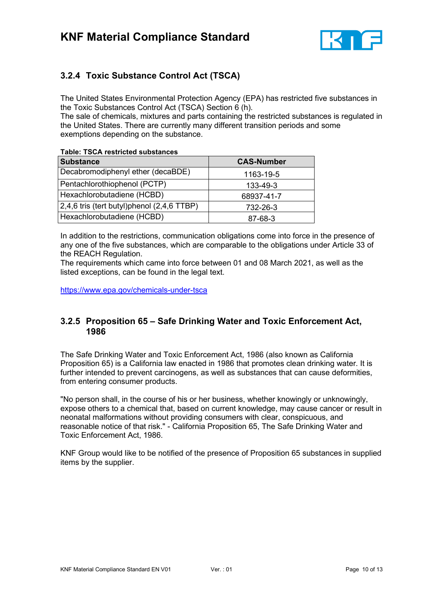

## <span id="page-9-0"></span>**3.2.4 Toxic Substance Control Act (TSCA)**

The United States Environmental Protection Agency (EPA) has restricted five substances in the Toxic Substances Control Act (TSCA) Section 6 (h).

The sale of chemicals, mixtures and parts containing the restricted substances is regulated in the United States. There are currently many different transition periods and some exemptions depending on the substance.

#### **Table: TSCA restricted substances**

| <b>Substance</b>                                | <b>CAS-Number</b> |  |
|-------------------------------------------------|-------------------|--|
| Decabromodiphenyl ether (decaBDE)               | 1163-19-5         |  |
| Pentachlorothiophenol (PCTP)                    | 133-49-3          |  |
| Hexachlorobutadiene (HCBD)                      | 68937-41-7        |  |
| $(2,4,6$ tris (tert butyl)phenol $(2,4,6$ TTBP) | 732-26-3          |  |
| Hexachlorobutadiene (HCBD)                      | 87-68-3           |  |

In addition to the restrictions, communication obligations come into force in the presence of any one of the five substances, which are comparable to the obligations under Article 33 of the REACH Regulation.

The requirements which came into force between 01 and 08 March 2021, as well as the listed exceptions, can be found in the legal text.

<https://www.epa.gov/chemicals-under-tsca>

## <span id="page-9-1"></span>**3.2.5 Proposition 65 – Safe Drinking Water and Toxic Enforcement Act, 1986**

The Safe Drinking Water and Toxic Enforcement Act, 1986 (also known as California Proposition 65) is a California law enacted in 1986 that promotes clean drinking water. It is further intended to prevent carcinogens, as well as substances that can cause deformities, from entering consumer products.

"No person shall, in the course of his or her business, whether knowingly or unknowingly, expose others to a chemical that, based on current knowledge, may cause cancer or result in neonatal malformations without providing consumers with clear, conspicuous, and reasonable notice of that risk." - California Proposition 65, The Safe Drinking Water and Toxic Enforcement Act, 1986.

KNF Group would like to be notified of the presence of Proposition 65 substances in supplied items by the supplier.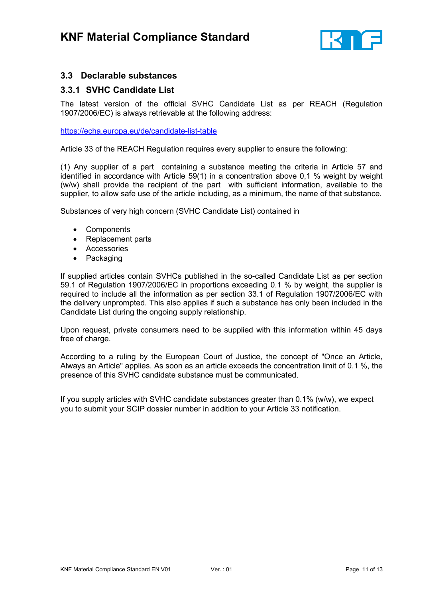

## <span id="page-10-0"></span>**3.3 Declarable substances**

### <span id="page-10-1"></span>**3.3.1 SVHC Candidate List**

The latest version of the official SVHC Candidate List as per REACH (Regulation 1907/2006/EC) is always retrievable at the following address:

<https://echa.europa.eu/de/candidate-list-table>

Article 33 of the REACH Regulation requires every supplier to ensure the following:

(1) Any supplier of a part containing a substance meeting the criteria in Article 57 and identified in accordance with Article 59(1) in a concentration above 0,1 % weight by weight (w/w) shall provide the recipient of the part with sufficient information, available to the supplier, to allow safe use of the article including, as a minimum, the name of that substance.

Substances of very high concern (SVHC Candidate List) contained in

- Components
- Replacement parts
- Accessories
- Packaging

If supplied articles contain SVHCs published in the so-called Candidate List as per section 59.1 of Regulation 1907/2006/EC in proportions exceeding 0.1 % by weight, the supplier is required to include all the information as per section 33.1 of Regulation 1907/2006/EC with the delivery unprompted. This also applies if such a substance has only been included in the Candidate List during the ongoing supply relationship.

Upon request, private consumers need to be supplied with this information within 45 days free of charge.

According to a ruling by the European Court of Justice, the concept of "Once an Article, Always an Article" applies. As soon as an article exceeds the concentration limit of 0.1 %, the presence of this SVHC candidate substance must be communicated.

If you supply articles with SVHC candidate substances greater than 0.1% (w/w), we expect you to submit your SCIP dossier number in addition to your Article 33 notification.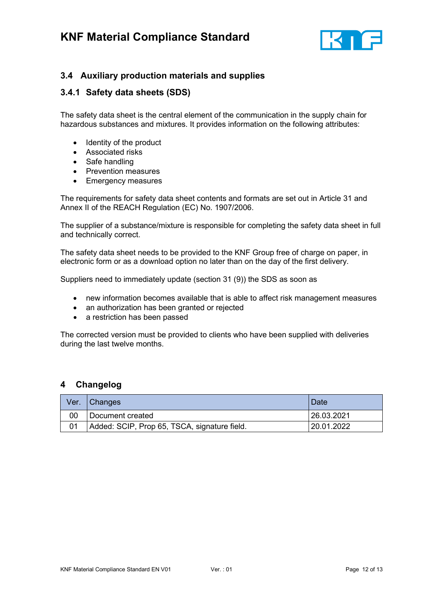

## <span id="page-11-0"></span>**3.4 Auxiliary production materials and supplies**

## <span id="page-11-1"></span>**3.4.1 Safety data sheets (SDS)**

The safety data sheet is the central element of the communication in the supply chain for hazardous substances and mixtures. It provides information on the following attributes:

- Identity of the product
- Associated risks
- Safe handling
- Prevention measures
- Emergency measures

The requirements for safety data sheet contents and formats are set out in Article 31 and Annex II of the REACH Regulation (EC) No. 1907/2006.

The supplier of a substance/mixture is responsible for completing the safety data sheet in full and technically correct.

The safety data sheet needs to be provided to the KNF Group free of charge on paper, in electronic form or as a download option no later than on the day of the first delivery.

Suppliers need to immediately update (section 31 (9)) the SDS as soon as

- new information becomes available that is able to affect risk management measures
- an authorization has been granted or rejected
- a restriction has been passed

The corrected version must be provided to clients who have been supplied with deliveries during the last twelve months.

## <span id="page-11-2"></span>**4 Changelog**

| Ver. | Changes                                      | Date       |
|------|----------------------------------------------|------------|
| 00   | Document created                             | 26.03.2021 |
|      | Added: SCIP, Prop 65, TSCA, signature field. | 20.01.2022 |